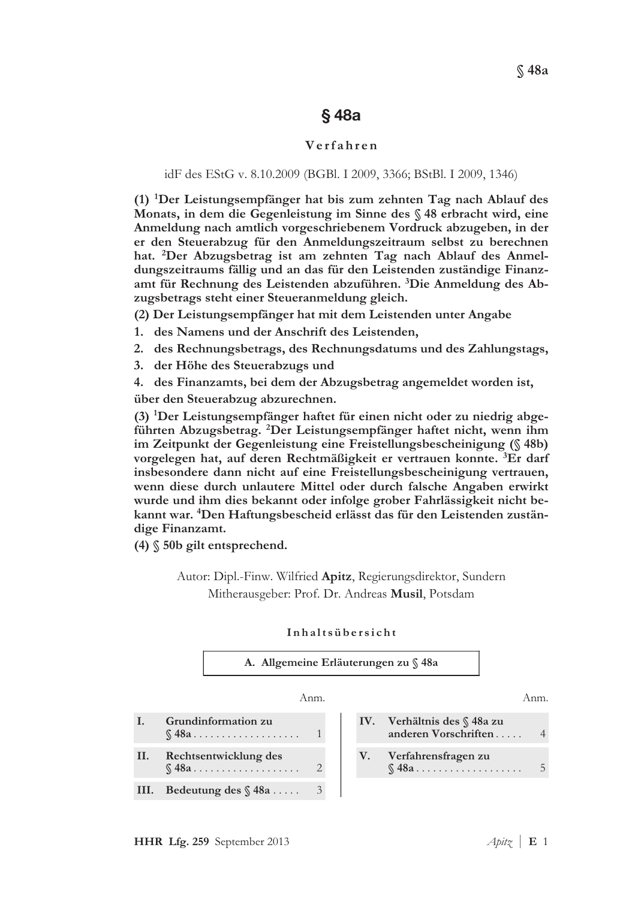# §48a

# $Verfahren$

# idF des EStG v. 8.10.2009 (BGBl. I 2009, 3366; BStBl. I 2009, 1346)

(1) <sup>1</sup>Der Leistungsempfänger hat bis zum zehnten Tag nach Ablauf des Monats, in dem die Gegenleistung im Sinne des § 48 erbracht wird, eine Anmeldung nach amtlich vorgeschriebenem Vordruck abzugeben, in der er den Steuerabzug für den Anmeldungszeitraum selbst zu berechnen hat. <sup>2</sup>Der Abzugsbetrag ist am zehnten Tag nach Ablauf des Anmeldungszeitraums fällig und an das für den Leistenden zuständige Finanzamt für Rechnung des Leistenden abzuführen. <sup>3</sup>Die Anmeldung des Abzugsbetrags steht einer Steueranmeldung gleich.

(2) Der Leistungsempfänger hat mit dem Leistenden unter Angabe

- 1. des Namens und der Anschrift des Leistenden,
- 2. des Rechnungsbetrags, des Rechnungsdatums und des Zahlungstags,
- 3. der Höhe des Steuerabzugs und
- 4. des Finanzamts, bei dem der Abzugsbetrag angemeldet worden ist,

über den Steuerabzug abzurechnen.

(3) <sup>1</sup>Der Leistungsempfänger haftet für einen nicht oder zu niedrig abgeführten Abzugsbetrag. <sup>2</sup>Der Leistungsempfänger haftet nicht, wenn ihm im Zeitpunkt der Gegenleistung eine Freistellungsbescheinigung (§ 48b) vorgelegen hat, auf deren Rechtmäßigkeit er vertrauen konnte. <sup>3</sup>Er darf insbesondere dann nicht auf eine Freistellungsbescheinigung vertrauen, wenn diese durch unlautere Mittel oder durch falsche Angaben erwirkt wurde und ihm dies bekannt oder infolge grober Fahrlässigkeit nicht bekannt war. <sup>4</sup>Den Haftungsbescheid erlässt das für den Leistenden zuständige Finanzamt.

 $(4)$   $$$  50b gilt entsprechend.

# Autor: Dipl.-Finw. Wilfried Apitz, Regierungsdirektor, Sundern Mitherausgeber: Prof. Dr. Andreas Musil, Potsdam

#### Inhaltsübersicht



I. Grundinformation zu  $\mathbb{S}$  48a  $\ldots$  . . . . . . . . . . . . . . .  $\mathbf{I}$ Rechtsentwicklung des E ,' JJJJJJJJJJJJJJJJJJJ \ III. Bedeutung des  $\sqrt{3}$  48a ..... 3

Anm. Anm. IV. Verhältnis des § 48a zu anderen Vorschriften . . . . . 4 V. Verfahrensfragen zu E ,' JJJJJJJJJJJJJJJJJJJ 5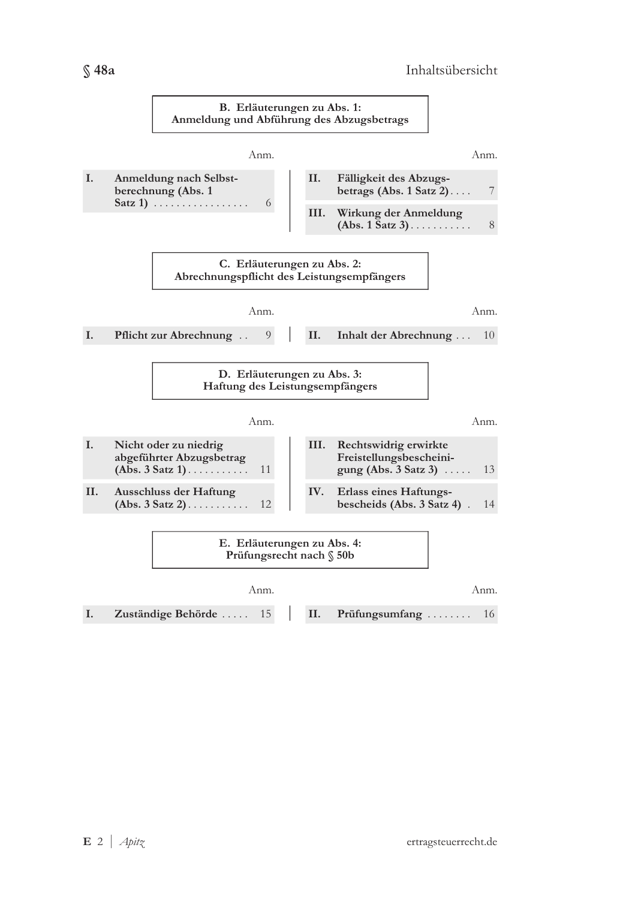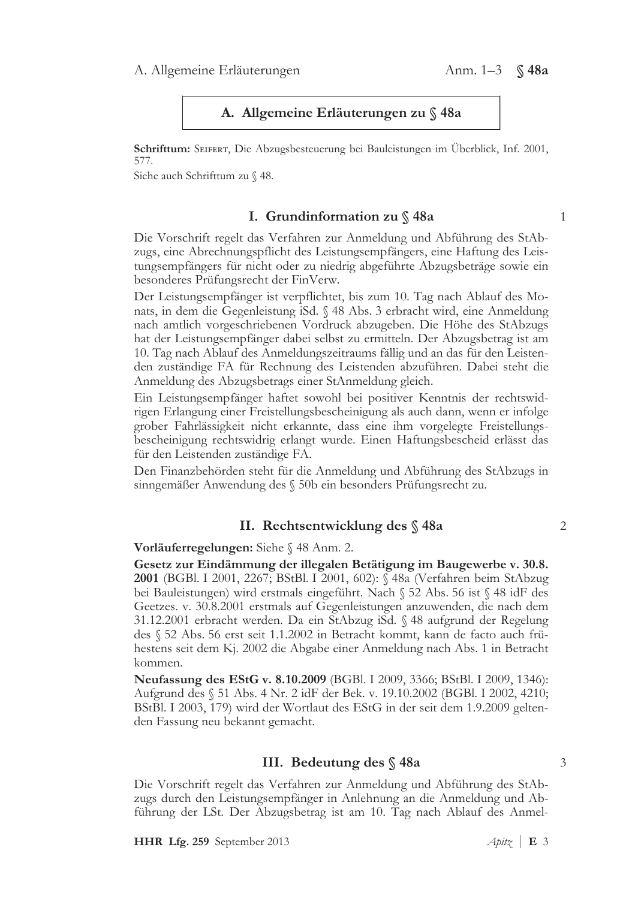# A. Allgemeine Erläuterungen zu § 48a

Schrifttum: SEIFERT, Die Abzugsbesteuerung bei Bauleistungen im Überblick, Inf. 2001, 577.

Siehe auch Schrifttum zu § 48.

# I. Grundinformation zu § 48a

 $\mathbf{1}$ 

 $\overline{2}$ 

3

Die Vorschrift regelt das Verfahren zur Anmeldung und Abführung des StAbzugs, eine Abrechnungspflicht des Leistungsempfängers, eine Haftung des Leistungsempfängers für nicht oder zu niedrig abgeführte Abzugsbeträge sowie ein besonderes Prüfungsrecht der FinVerw.

Der Leistungsempfänger ist verpflichtet, bis zum 10. Tag nach Ablauf des Monats, in dem die Gegenleistung iSd. § 48 Abs. 3 erbracht wird, eine Anmeldung nach amtlich vorgeschriebenen Vordruck abzugeben. Die Höhe des StAbzugs hat der Leistungsempfänger dabei selbst zu ermitteln. Der Abzugsbetrag ist am 10. Tag nach Ablauf des Anmeldungszeitraums fällig und an das für den Leistenden zuständige FA für Rechnung des Leistenden abzuführen. Dabei steht die Anmeldung des Abzugsbetrags einer StAnmeldung gleich.

Ein Leistungsempfänger haftet sowohl bei positiver Kenntnis der rechtswidrigen Erlangung einer Freistellungsbescheinigung als auch dann, wenn er infolge grober Fahrlässigkeit nicht erkannte, dass eine ihm vorgelegte Freistellungsbescheinigung rechtswidrig erlangt wurde. Einen Haftungsbescheid erlässt das für den Leistenden zuständige FA.

Den Finanzbehörden steht für die Anmeldung und Abführung des StAbzugs in sinngemäßer Anwendung des § 50b ein besonders Prüfungsrecht zu.

# II. Rechtsentwicklung des § 48a

Vorläuferregelungen: Siehe § 48 Anm. 2.

Gesetz zur Eindämmung der illegalen Betätigung im Baugewerbe v. 30.8. 2001 (BGBl. I 2001, 2267; BStBl. I 2001, 602): § 48a (Verfahren beim StAbzug bei Bauleistungen) wird erstmals eingeführt. Nach § 52 Abs. 56 ist § 48 idF des Geetzes. v. 30.8.2001 erstmals auf Gegenleistungen anzuwenden, die nach dem 31.12.2001 erbracht werden. Da ein StAbzug iSd. § 48 aufgrund der Regelung des § 52 Abs. 56 erst seit 1.1.2002 in Betracht kommt, kann de facto auch frühestens seit dem Kj. 2002 die Abgabe einer Anmeldung nach Abs. 1 in Betracht kommen.

**Neufassung des EStG v. 8.10.2009** (BGBl. I 2009, 3366; BStBl. I 2009, 1346): Aufgrund des § 51 Abs. 4 Nr. 2 idF der Bek. v. 19.10.2002 (BGBl. I 2002, 4210; BStBl. I 2003, 179) wird der Wortlaut des EStG in der seit dem 1.9.2009 geltenden Fassung neu bekannt gemacht.

# III. Bedeutung des § 48a

Die Vorschrift regelt das Verfahren zur Anmeldung und Abführung des StAbzugs durch den Leistungsempfänger in Anlehnung an die Anmeldung und Abführung der LSt. Der Abzugsbetrag ist am 10. Tag nach Ablauf des Anmel-

HHR Lfg. 259 September 2013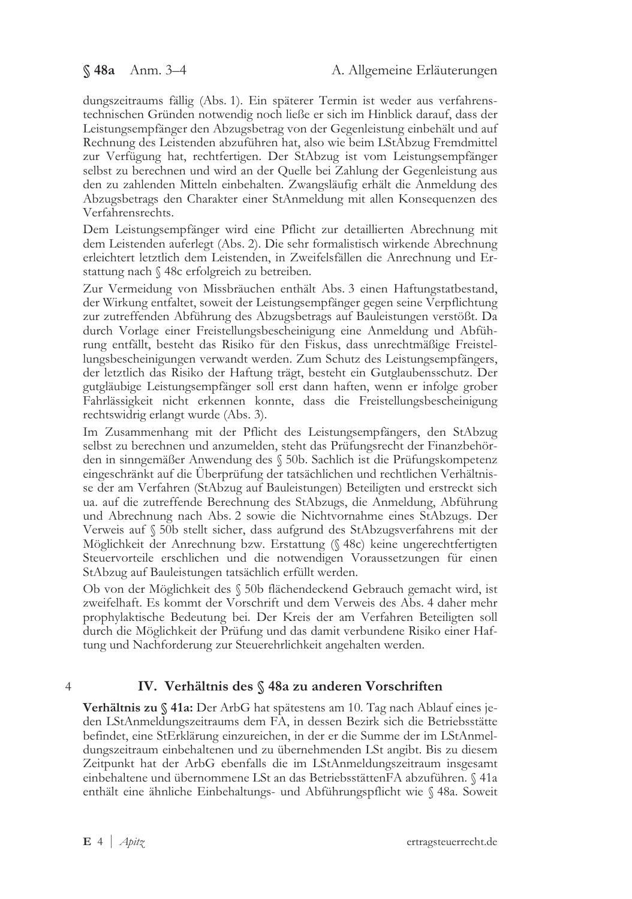dungszeitraums fällig (Abs. 1). Ein späterer Termin ist weder aus verfahrenstechnischen Gründen notwendig noch ließe er sich im Hinblick darauf, dass der Leistungsempfänger den Abzugsbetrag von der Gegenleistung einbehält und auf Rechnung des Leistenden abzuführen hat, also wie beim LStAbzug Fremdmittel zur Verfügung hat, rechtfertigen. Der StAbzug ist vom Leistungsempfänger selbst zu berechnen und wird an der Quelle bei Zahlung der Gegenleistung aus den zu zahlenden Mitteln einbehalten. Zwangsläufig erhält die Anmeldung des Abzugsbetrags den Charakter einer StAnmeldung mit allen Konsequenzen des Verfahrensrechts.

Dem Leistungsempfänger wird eine Pflicht zur detaillierten Abrechnung mit dem Leistenden auferlegt (Abs. 2). Die sehr formalistisch wirkende Abrechnung erleichtert letztlich dem Leistenden, in Zweifelsfällen die Anrechnung und Erstattung nach § 48c erfolgreich zu betreiben.

Zur Vermeidung von Missbräuchen enthält Abs. 3 einen Haftungstatbestand, der Wirkung entfaltet, soweit der Leistungsempfänger gegen seine Verpflichtung zur zutreffenden Abführung des Abzugsbetrags auf Bauleistungen verstößt. Da durch Vorlage einer Freistellungsbescheinigung eine Anmeldung und Abführung entfällt, besteht das Risiko für den Fiskus, dass unrechtmäßige Freistellungsbescheinigungen verwandt werden. Zum Schutz des Leistungsempfängers, der letztlich das Risiko der Haftung trägt, besteht ein Gutglaubensschutz. Der gutgläubige Leistungsempfänger soll erst dann haften, wenn er infolge grober Fahrlässigkeit nicht erkennen konnte, dass die Freistellungsbescheinigung rechtswidrig erlangt wurde (Abs. 3).

Im Zusammenhang mit der Pflicht des Leistungsempfängers, den StAbzug selbst zu berechnen und anzumelden, steht das Prüfungsrecht der Finanzbehörden in sinngemäßer Anwendung des § 50b. Sachlich ist die Prüfungskompetenz eingeschränkt auf die Überprüfung der tatsächlichen und rechtlichen Verhältnisse der am Verfahren (StAbzug auf Bauleistungen) Beteiligten und erstreckt sich ua. auf die zutreffende Berechnung des StAbzugs, die Anmeldung, Abführung und Abrechnung nach Abs. 2 sowie die Nichtvornahme eines StAbzugs. Der Verweis auf § 50b stellt sicher, dass aufgrund des StAbzugsverfahrens mit der Möglichkeit der Anrechnung bzw. Erstattung (§ 48c) keine ungerechtfertigten Steuervorteile erschlichen und die notwendigen Voraussetzungen für einen StAbzug auf Bauleistungen tatsächlich erfüllt werden.

Ob von der Möglichkeit des § 50b flächendeckend Gebrauch gemacht wird, ist zweifelhaft. Es kommt der Vorschrift und dem Verweis des Abs. 4 daher mehr prophylaktische Bedeutung bei. Der Kreis der am Verfahren Beteiligten soll durch die Möglichkeit der Prüfung und das damit verbundene Risiko einer Haftung und Nachforderung zur Steuerehrlichkeit angehalten werden.

 $\overline{4}$ 

# IV. Verhältnis des § 48a zu anderen Vorschriften

Verhältnis zu § 41a: Der ArbG hat spätestens am 10. Tag nach Ablauf eines jeden LStAnmeldungszeitraums dem FA, in dessen Bezirk sich die Betriebsstätte befindet, eine StErklärung einzureichen, in der er die Summe der im LStAnmeldungszeitraum einbehaltenen und zu übernehmenden LSt angibt. Bis zu diesem Zeitpunkt hat der ArbG ebenfalls die im LStAnmeldungszeitraum insgesamt einbehaltene und übernommene LSt an das BetriebsstättenFA abzuführen. § 41a enthält eine ähnliche Einbehaltungs- und Abführungspflicht wie § 48a. Soweit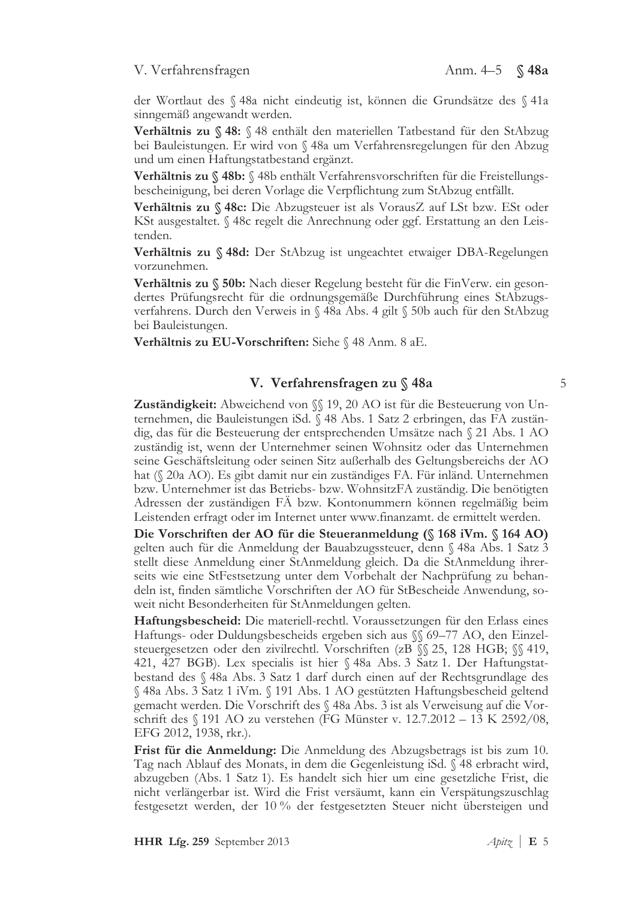# V. Verfahrensfragen Anm. 4–5  $\%$  48a

der Wortlaut des § 48a nicht eindeutig ist, können die Grundsätze des § 41a sinngemäß angewandt werden.

Verhältnis zu § 48: § 48 enthält den materiellen Tatbestand für den StAbzug bei Bauleistungen. Er wird von § 48a um Verfahrensregelungen für den Abzug und um einen Haftungstatbestand ergänzt.

Verhältnis zu § 48b: § 48b enthält Verfahrensvorschriften für die Freistellungsbescheinigung, bei deren Vorlage die Verpflichtung zum StAbzug entfällt.

Verhältnis zu §48c: Die Abzugsteuer ist als VorausZ auf LSt bzw. ESt oder KSt ausgestaltet. § 48c regelt die Anrechnung oder ggf. Erstattung an den Leistenden.

Verhältnis zu § 48d: Der StAbzug ist ungeachtet etwaiger DBA-Regelungen vorzunehmen.

**Verhältnis zu § 50b:** Nach dieser Regelung besteht für die FinVerw. ein gesondertes Prüfungsrecht für die ordnungsgemäße Durchführung eines StAbzugsverfahrens. Durch den Verweis in § 48a Abs. 4 gilt § 50b auch für den StAbzug bei Bauleistungen.

Verhältnis zu EU-Vorschriften: Siehe § 48 Anm. 8 aE.

# V. Verfahrensfragen zu § 48a

Zuständigkeit: Abweichend von SS 19, 20 AO ist für die Besteuerung von Unternehmen, die Bauleistungen iSd. § 48 Abs. 1 Satz 2 erbringen, das FA zuständig, das für die Besteuerung der entsprechenden Umsätze nach § 21 Abs. 1 AO zuständig ist, wenn der Unternehmer seinen Wohnsitz oder das Unternehmen seine Geschäftsleitung oder seinen Sitz außerhalb des Geltungsbereichs der AO hat (§ 20a AO). Es gibt damit nur ein zuständiges FA. Für inländ. Unternehmen bzw. Unternehmer ist das Betriebs- bzw. WohnsitzFA zuständig. Die benötigten Adressen der zuständigen FÅ bzw. Kontonummern können regelmäßig beim Leistenden erfragt oder im Internet unter www.finanzamt. de ermittelt werden.

Die Vorschriften der AO für die Steueranmeldung (§ 168 iVm. § 164 AO) gelten auch für die Anmeldung der Bauabzugssteuer, denn § 48a Abs. 1 Satz 3 stellt diese Anmeldung einer StAnmeldung gleich. Da die StAnmeldung ihrerseits wie eine StFestsetzung unter dem Vorbehalt der Nachprüfung zu behandeln ist, finden sämtliche Vorschriften der AO für StBescheide Anwendung, soweit nicht Besonderheiten für StAnmeldungen gelten.

Haftungsbescheid: Die materiell-rechtl. Voraussetzungen für den Erlass eines Haftungs- oder Duldungsbescheids ergeben sich aus §§ 69-77 AO, den Einzelsteuergesetzen oder den zivilrechtl. Vorschriften (zB §§ 25, 128 HGB; §§ 419, 421, 427 BGB). Lex specialis ist hier § 48a Abs. 3 Satz 1. Der Haftungstatbestand des § 48a Abs. 3 Satz 1 darf durch einen auf der Rechtsgrundlage des  $\%$  48a Abs. 3 Satz 1 iVm.  $\%$  191 Abs. 1 AO gestützten Haftungsbescheid geltend gemacht werden. Die Vorschrift des § 48a Abs. 3 ist als Verweisung auf die Vorschrift des  $\S$  191 AO zu verstehen (FG Münster v. 12.7.2012 – 13 K 2592/08, EFG 2012, 1938, rkr.).

Frist für die Anmeldung: Die Anmeldung des Abzugsbetrags ist bis zum 10. Tag nach Ablauf des Monats, in dem die Gegenleistung iSd. § 48 erbracht wird, abzugeben (Abs. 1 Satz 1). Es handelt sich hier um eine gesetzliche Frist, die nicht verlängerbar ist. Wird die Frist versäumt, kann ein Verspätungszuschlag festgesetzt werden, der 10 % der festgesetzten Steuer nicht übersteigen und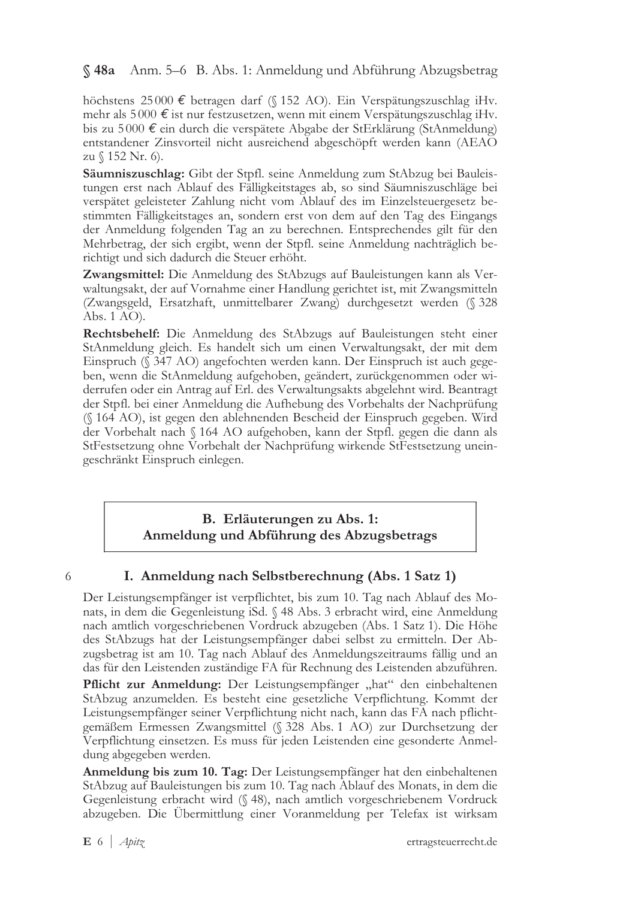#### § 48a Anm. 5–6 B. Abs. 1: Anmeldung und Abführung Abzugsbetrag

höchstens 25000 € betragen darf (§ 152 AO). Ein Verspätungszuschlag iHv. mehr als 5000 € ist nur festzusetzen, wenn mit einem Verspätungszuschlag iHv. bis zu 5000  $\epsilon$  ein durch die verspätete Abgabe der StErklärung (StAnmeldung) entstandener Zinsvorteil nicht ausreichend abgeschöpft werden kann (AEAO zu § 152 Nr. 6).

Säumniszuschlag: Gibt der Stpfl. seine Anmeldung zum StAbzug bei Bauleistungen erst nach Ablauf des Fälligkeitstages ab, so sind Säumniszuschläge bei verspätet geleisteter Zahlung nicht vom Ablauf des im Einzelsteuergesetz bestimmten Fälligkeitstages an, sondern erst von dem auf den Tag des Eingangs der Anmeldung folgenden Tag an zu berechnen. Entsprechendes gilt für den Mehrbetrag, der sich ergibt, wenn der Stpfl. seine Anmeldung nachträglich berichtigt und sich dadurch die Steuer erhöht.

Zwangsmittel: Die Anmeldung des StAbzugs auf Bauleistungen kann als Verwaltungsakt, der auf Vornahme einer Handlung gerichtet ist, mit Zwangsmitteln (Zwangsgeld, Ersatzhaft, unmittelbarer Zwang) durchgesetzt werden (§ 328 Abs. 1 AO).

Rechtsbehelf: Die Anmeldung des StAbzugs auf Bauleistungen steht einer StAnmeldung gleich. Es handelt sich um einen Verwaltungsakt, der mit dem Einspruch (§ 347 AO) angefochten werden kann. Der Einspruch ist auch gegeben, wenn die StAnmeldung aufgehoben, geändert, zurückgenommen oder widerrufen oder ein Antrag auf Erl. des Verwaltungsakts abgelehnt wird. Beantragt der Stpfl. bei einer Anmeldung die Aufhebung des Vorbehalts der Nachprüfung (§ 164 AO), ist gegen den ablehnenden Bescheid der Einspruch gegeben. Wird der Vorbehalt nach § 164 AO aufgehoben, kann der Stpfl. gegen die dann als StFestsetzung ohne Vorbehalt der Nachprüfung wirkende StFestsetzung uneingeschränkt Einspruch einlegen.

# B. Erläuterungen zu Abs. 1: Anmeldung und Abführung des Abzugsbetrags

6

# I. Anmeldung nach Selbstberechnung (Abs. 1 Satz 1)

Der Leistungsempfänger ist verpflichtet, bis zum 10. Tag nach Ablauf des Monats, in dem die Gegenleistung iSd. § 48 Abs. 3 erbracht wird, eine Anmeldung nach amtlich vorgeschriebenen Vordruck abzugeben (Abs. 1 Satz 1). Die Höhe des StAbzugs hat der Leistungsempfänger dabei selbst zu ermitteln. Der Abzugsbetrag ist am 10. Tag nach Ablauf des Anmeldungszeitraums fällig und an das für den Leistenden zuständige FA für Rechnung des Leistenden abzuführen.

Pflicht zur Anmeldung: Der Leistungsempfänger "hat" den einbehaltenen StAbzug anzumelden. Es besteht eine gesetzliche Verpflichtung. Kommt der Leistungsempfänger seiner Verpflichtung nicht nach, kann das FA nach pflichtgemäßem Ermessen Zwangsmittel (§ 328 Abs. 1 AO) zur Durchsetzung der Verpflichtung einsetzen. Es muss für jeden Leistenden eine gesonderte Anmeldung abgegeben werden.

**Anmeldung bis zum 10. Tag:** Der Leistungsempfänger hat den einbehaltenen StAbzug auf Bauleistungen bis zum 10. Tag nach Ablauf des Monats, in dem die Gegenleistung erbracht wird (§ 48), nach amtlich vorgeschriebenem Vordruck abzugeben. Die Übermittlung einer Voranmeldung per Telefax ist wirksam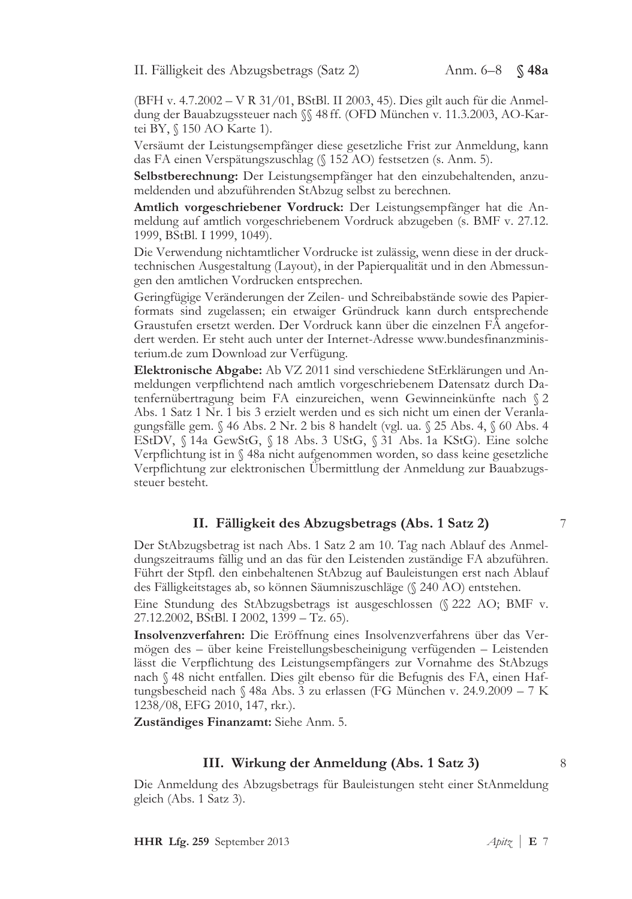II. Fälligkeit des Abzugsbetrags (Satz 2)

(BFH v. 4.7.2002 - V R 31/01, BStBl. II 2003, 45). Dies gilt auch für die Anmeldung der Bauabzugssteuer nach SS 48 ff. (OFD München v. 11.3.2003, AO-Kartei BY, § 150 AO Karte 1).

Versäumt der Leistungsempfänger diese gesetzliche Frist zur Anmeldung, kann das FA einen Verspätungszuschlag (§ 152 AO) festsetzen (s. Anm. 5).

Selbstberechnung: Der Leistungsempfänger hat den einzubehaltenden, anzumeldenden und abzuführenden StAbzug selbst zu berechnen.

Amtlich vorgeschriebener Vordruck: Der Leistungsempfänger hat die Anmeldung auf amtlich vorgeschriebenem Vordruck abzugeben (s. BMF v. 27.12. 1999, BStBl. I 1999, 1049).

Die Verwendung nichtamtlicher Vordrucke ist zulässig, wenn diese in der drucktechnischen Ausgestaltung (Layout), in der Papierqualität und in den Abmessungen den amtlichen Vordrucken entsprechen.

Geringfügige Veränderungen der Zeilen- und Schreibabstände sowie des Papierformats sind zugelassen; ein etwaiger Gründruck kann durch entsprechende Graustufen ersetzt werden. Der Vordruck kann über die einzelnen FÄ angefordert werden. Er steht auch unter der Internet-Adresse www.bundesfinanzministerium.de zum Download zur Verfügung.

Elektronische Abgabe: Ab VZ 2011 sind verschiedene StErklärungen und Anmeldungen verpflichtend nach amtlich vorgeschriebenem Datensatz durch Datenfernübertragung beim FA einzureichen, wenn Gewinneinkünfte nach § 2 Abs. 1 Satz 1 Nr. 1 bis 3 erzielt werden und es sich nicht um einen der Veranlagungsfälle gem. § 46 Abs. 2 Nr. 2 bis 8 handelt (vgl. ua. § 25 Abs. 4, § 60 Abs. 4 EStDV, § 14a GewStG, § 18 Abs. 3 UStG, § 31 Abs. 1a KStG). Eine solche Verpflichtung ist in § 48a nicht aufgenommen worden, so dass keine gesetzliche Verpflichtung zur elektronischen Übermittlung der Anmeldung zur Bauabzugssteuer besteht.

## II. Fälligkeit des Abzugsbetrags (Abs. 1 Satz 2)

Der StAbzugsbetrag ist nach Abs. 1 Satz 2 am 10. Tag nach Ablauf des Anmeldungszeitraums fällig und an das für den Leistenden zuständige FA abzuführen. Führt der Stpfl. den einbehaltenen StAbzug auf Bauleistungen erst nach Ablauf des Fälligkeitstages ab, so können Säumniszuschläge (§ 240 AO) entstehen. Eine Stundung des StAbzugsbetrags ist ausgeschlossen (§ 222 AO; BMF v. 27.12.2002, BStBl. I 2002, 1399 - Tz. 65).

Insolvenzverfahren: Die Eröffnung eines Insolvenzverfahrens über das Vermögen des – über keine Freistellungsbescheinigung verfügenden – Leistenden lässt die Verpflichtung des Leistungsempfängers zur Vornahme des StAbzugs nach § 48 nicht entfallen. Dies gilt ebenso für die Befugnis des FA, einen Haftungsbescheid nach § 48a Abs. 3 zu erlassen (FG München v. 24.9.2009 – 7 K 1238/08, EFG 2010, 147, rkr.).

Zuständiges Finanzamt: Siehe Anm. 5.

# III. Wirkung der Anmeldung (Abs. 1 Satz 3)

Die Anmeldung des Abzugsbetrags für Bauleistungen steht einer StAnmeldung gleich (Abs. 1 Satz 3).

7

8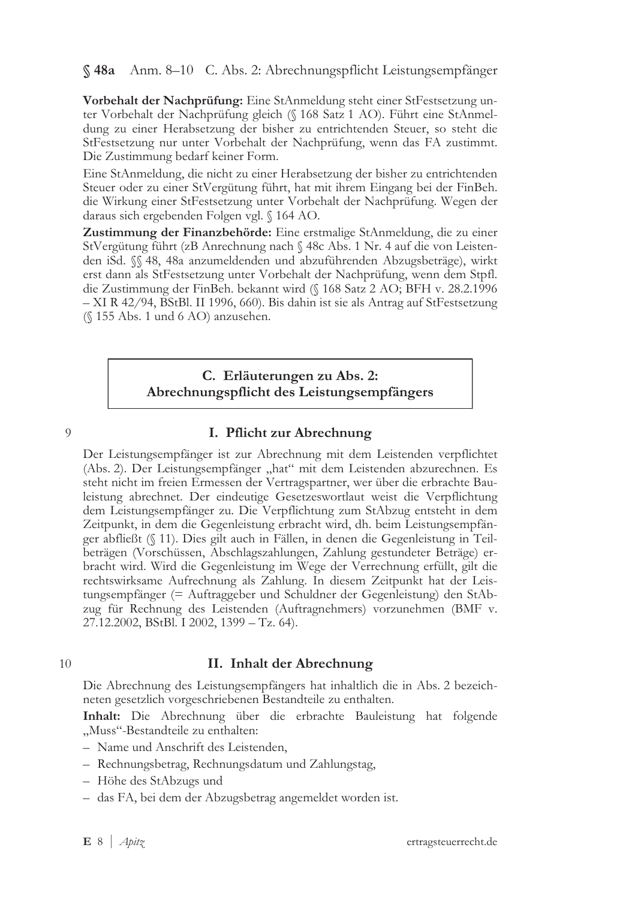§ 48a Anm. 8–10 C. Abs. 2: Abrechnungspflicht Leistungsempfänger

Vorbehalt der Nachprüfung: Eine StAnmeldung steht einer StFestsetzung unter Vorbehalt der Nachprüfung gleich (§ 168 Satz 1 AO). Führt eine StAnmeldung zu einer Herabsetzung der bisher zu entrichtenden Steuer, so steht die StFestsetzung nur unter Vorbehalt der Nachprüfung, wenn das FA zustimmt. Die Zustimmung bedarf keiner Form.

Eine StAnmeldung, die nicht zu einer Herabsetzung der bisher zu entrichtenden Steuer oder zu einer StVergütung führt, hat mit ihrem Eingang bei der FinBeh. die Wirkung einer StFestsetzung unter Vorbehalt der Nachprüfung. Wegen der daraus sich ergebenden Folgen vgl. § 164 AO.

Zustimmung der Finanzbehörde: Eine erstmalige StAnmeldung, die zu einer StVergütung führt (zB Anrechnung nach § 48c Abs. 1 Nr. 4 auf die von Leistenden iSd. §§ 48, 48a anzumeldenden und abzuführenden Abzugsbeträge), wirkt erst dann als StFestsetzung unter Vorbehalt der Nachprüfung, wenn dem Stpfl. die Zustimmung der FinBeh. bekannt wird (§ 168 Satz 2 AO; BFH v. 28.2.1996 – XI R 42/94, BStBl. II 1996, 660). Bis dahin ist sie als Antrag auf StFestsetzung (§ 155 Abs. 1 und 6 AO) anzusehen.

# C. Erläuterungen zu Abs. 2: Abrechnungspflicht des Leistungsempfängers

 $\overline{O}$ 

# I. Pflicht zur Abrechnung

Der Leistungsempfänger ist zur Abrechnung mit dem Leistenden verpflichtet (Abs. 2). Der Leistungsempfänger "hat" mit dem Leistenden abzurechnen. Es steht nicht im freien Ermessen der Vertragspartner, wer über die erbrachte Bauleistung abrechnet. Der eindeutige Gesetzeswortlaut weist die Verpflichtung dem Leistungsempfänger zu. Die Verpflichtung zum StAbzug entsteht in dem Zeitpunkt, in dem die Gegenleistung erbracht wird, dh. beim Leistungsempfänger abfließt (§ 11). Dies gilt auch in Fällen, in denen die Gegenleistung in Teilbeträgen (Vorschüssen, Abschlagszahlungen, Zahlung gestundeter Beträge) erbracht wird. Wird die Gegenleistung im Wege der Verrechnung erfüllt, gilt die rechtswirksame Aufrechnung als Zahlung. In diesem Zeitpunkt hat der Leistungsempfänger (= Auftraggeber und Schuldner der Gegenleistung) den StAbzug für Rechnung des Leistenden (Auftragnehmers) vorzunehmen (BMF v. 27.12.2002, BStBl. I 2002, 1399 – Tz. 64).

#### $10$

# II. Inhalt der Abrechnung

Die Abrechnung des Leistungsempfängers hat inhaltlich die in Abs. 2 bezeichneten gesetzlich vorgeschriebenen Bestandteile zu enthalten.

Inhalt: Die Abrechnung über die erbrachte Bauleistung hat folgende "Muss"-Bestandteile zu enthalten:

- Name und Anschrift des Leistenden,
- Rechnungsbetrag, Rechnungsdatum und Zahlungstag,
- Höhe des StAbzugs und
- das FA, bei dem der Abzugsbetrag angemeldet worden ist.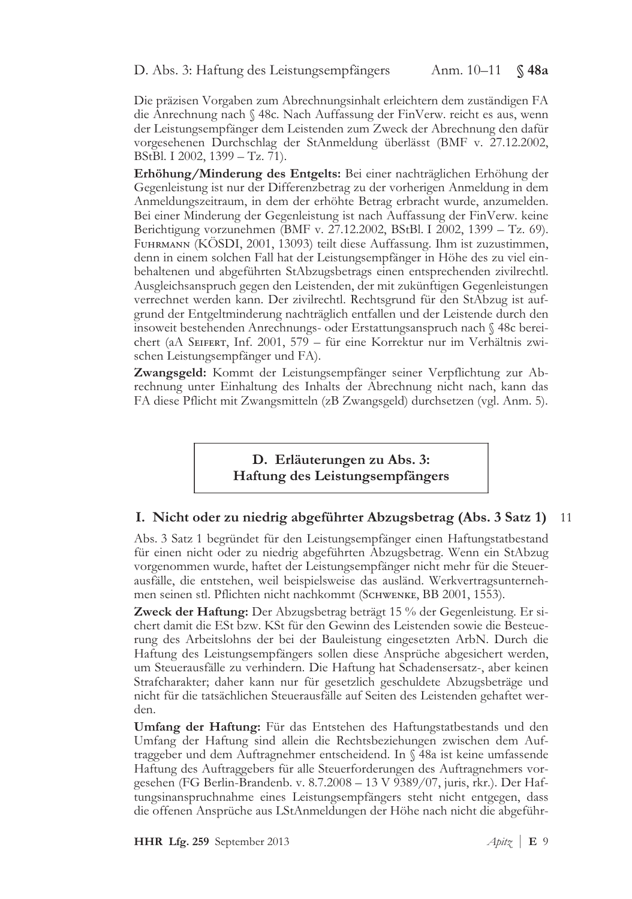D. Abs. 3: Haftung des Leistungsempfängers Anm. 10-11 § 48a

Die präzisen Vorgaben zum Abrechnungsinhalt erleichtern dem zuständigen FA die Anrechnung nach § 48c. Nach Auffassung der FinVerw. reicht es aus, wenn der Leistungsempfänger dem Leistenden zum Zweck der Abrechnung den dafür vorgesehenen Durchschlag der StAnmeldung überlässt (BMF v. 27.12.2002, BStBl. I 2002, 1399 – Tz. 71).

Erhöhung/Minderung des Entgelts: Bei einer nachträglichen Erhöhung der Gegenleistung ist nur der Differenzbetrag zu der vorherigen Anmeldung in dem Anmeldungszeitraum, in dem der erhöhte Betrag erbracht wurde, anzumelden. Bei einer Minderung der Gegenleistung ist nach Auffassung der FinVerw. keine Berichtigung vorzunehmen (BMF v. 27.12.2002, BStBl. I 2002, 1399 – Tz. 69). Fuнrмаnn (KOSDI, 2001, 13093) teilt diese Auffassung. Ihm ist zuzustimmen, denn in einem solchen Fall hat der Leistungsempfänger in Höhe des zu viel einbehaltenen und abgeführten StAbzugsbetrags einen entsprechenden zivilrechtl. Ausgleichsanspruch gegen den Leistenden, der mit zukünftigen Gegenleistungen verrechnet werden kann. Der zivilrechtl. Rechtsgrund für den StÄbzug ist aufgrund der Entgeltminderung nachträglich entfallen und der Leistende durch den insoweit bestehenden Anrechnungs- oder Erstattungsanspruch nach § 48c bereichert (aA SEIFERT, Inf. 2001, 579 – für eine Korrektur nur im Verhältnis zwischen Leistungsempfänger und FA).

Zwangsgeld: Kommt der Leistungsempfänger seiner Verpflichtung zur Abrechnung unter Einhaltung des Inhalts der Abrechnung nicht nach, kann das FA diese Pflicht mit Zwangsmitteln (zB Zwangsgeld) durchsetzen (vgl. Anm. 5).

> D. Erläuterungen zu Abs. 3: Haftung des Leistungsempfängers

#### I. Nicht oder zu niedrig abgeführter Abzugsbetrag (Abs. 3 Satz 1) <sup>11</sup>

Abs. 3 Satz 1 begründet für den Leistungsempfänger einen Haftungstatbestand für einen nicht oder zu niedrig abgeführten Abzugsbetrag. Wenn ein StAbzug vorgenommen wurde, haftet der Leistungsempfänger nicht mehr für die Steuerausfälle, die entstehen, weil beispielsweise das ausländ. Werkvertragsunternehmen seinen stl. Pflichten nicht nachkommt (SCHWENKE, BB 2001, 1553).

Zweck der Haftung: Der Abzugsbetrag beträgt 15 % der Gegenleistung. Er sichert damit die ESt bzw. KSt für den Gewinn des Leistenden sowie die Besteuerung des Arbeitslohns der bei der Bauleistung eingesetzten ArbN. Durch die Haftung des Leistungsempfängers sollen diese Ansprüche abgesichert werden, um Steuerausfälle zu verhindern. Die Haftung hat Schadensersatz-, aber keinen Strafcharakter; daher kann nur für gesetzlich geschuldete Abzugsbeträge und nicht für die tatsächlichen Steuerausfälle auf Seiten des Leistenden gehaftet werden.

Umfang der Haftung: Für das Entstehen des Haftungstatbestands und den Umfang der Haftung sind allein die Rechtsbeziehungen zwischen dem Auftraggeber und dem Auftragnehmer entscheidend. In § 48a ist keine umfassende Haftung des Auftraggebers für alle Steuerforderungen des Auftragnehmers vorgesehen (FG Berlin-Brandenb. v. 8.7.2008 – 13 V 9389/07, juris, rkr.). Der Haftungsinanspruchnahme eines Leistungsempfängers steht nicht entgegen, dass die offenen Ansprüche aus LStAnmeldungen der Höhe nach nicht die abgeführ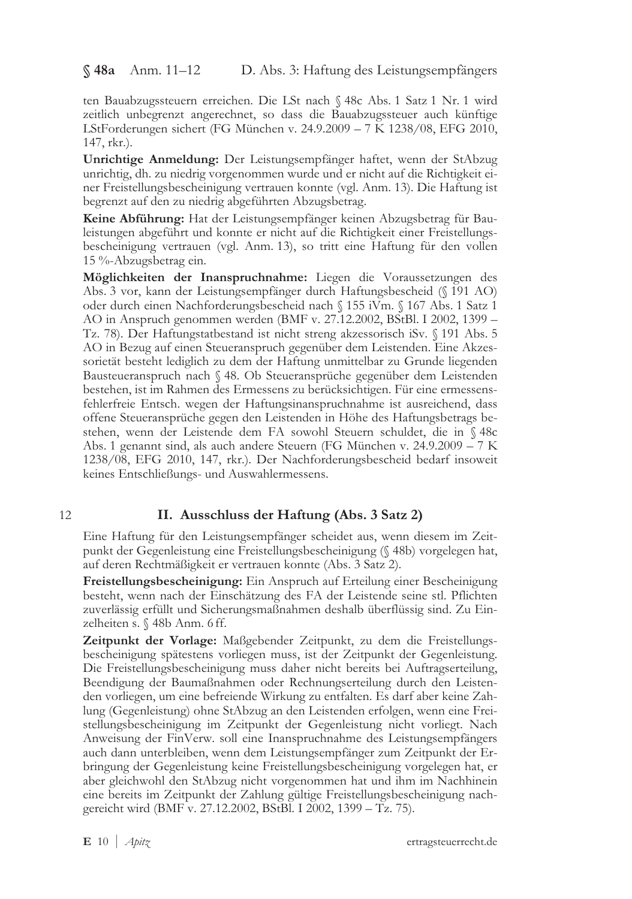$$48a$  Anm. 11-12 D. Abs. 3: Haftung des Leistungsempfängers

ten Bauabzugssteuern erreichen. Die LSt nach § 48c Abs. 1 Satz 1 Nr. 1 wird zeitlich unbegrenzt angerechnet, so dass die Bauabzugssteuer auch künftige LStForderungen sichert (FG München v. 24.9.2009 - 7 K 1238/08, EFG 2010, 147, rkr.).

Unrichtige Anmeldung: Der Leistungsempfänger haftet, wenn der StAbzug unrichtig, dh. zu niedrig vorgenommen wurde und er nicht auf die Richtigkeit einer Freistellungsbescheinigung vertrauen konnte (vgl. Anm. 13). Die Haftung ist begrenzt auf den zu niedrig abgeführten Abzugsbetrag.

Keine Abführung: Hat der Leistungsempfänger keinen Abzugsbetrag für Bauleistungen abgeführt und konnte er nicht auf die Richtigkeit einer Freistellungsbescheinigung vertrauen (vgl. Anm. 13), so tritt eine Haftung für den vollen 15 %-Abzugsbetrag ein.

Möglichkeiten der Inanspruchnahme: Liegen die Voraussetzungen des Abs. 3 vor, kann der Leistungsempfänger durch Haftungsbescheid (§ 191 AO) oder durch einen Nachforderungsbescheid nach § 155 iVm. § 167 Abs. 1 Satz 1 AO in Anspruch genommen werden (BMF v. 27.12.2002, BStBl. I 2002, 1399 -Tz. 78). Der Haftungstatbestand ist nicht streng akzessorisch iSv. § 191 Abs. 5 AO in Bezug auf einen Steueranspruch gegenüber dem Leistenden. Eine Akzessorietät besteht lediglich zu dem der Haftung unmittelbar zu Grunde liegenden Bausteueranspruch nach § 48. Ob Steueransprüche gegenüber dem Leistenden bestehen, ist im Rahmen des Ermessens zu berücksichtigen. Für eine ermessensfehlerfreie Entsch. wegen der Haftungsinanspruchnahme ist ausreichend, dass offene Steueransprüche gegen den Leistenden in Höhe des Haftungsbetrags bestehen, wenn der Leistende dem FA sowohl Steuern schuldet, die in § 48c Abs. 1 genannt sind, als auch andere Steuern (FG München v. 24.9.2009 – 7 K 1238/08, EFG 2010, 147, rkr.). Der Nachforderungsbescheid bedarf insoweit keines Entschließungs- und Auswahlermessens.

#### 12

### II. Ausschluss der Haftung (Abs. 3 Satz 2)

Eine Haftung für den Leistungsempfänger scheidet aus, wenn diesem im Zeitpunkt der Gegenleistung eine Freistellungsbescheinigung (§ 48b) vorgelegen hat, auf deren Rechtmäßigkeit er vertrauen konnte (Abs. 3 Satz 2).

Freistellungsbescheinigung: Ein Anspruch auf Erteilung einer Bescheinigung besteht, wenn nach der Einschätzung des FA der Leistende seine stl. Pflichten zuverlässig erfüllt und Sicherungsmaßnahmen deshalb überflüssig sind. Zu Einzelheiten s. § 48b Anm. 6 ff.

Zeitpunkt der Vorlage: Maßgebender Zeitpunkt, zu dem die Freistellungsbescheinigung spätestens vorliegen muss, ist der Zeitpunkt der Gegenleistung. Die Freistellungsbescheinigung muss daher nicht bereits bei Auftragserteilung, Beendigung der Baumaßnahmen oder Rechnungserteilung durch den Leistenden vorliegen, um eine befreiende Wirkung zu entfalten. Es darf aber keine Zahlung (Gegenleistung) ohne StAbzug an den Leistenden erfolgen, wenn eine Freistellungsbescheinigung im Zeitpunkt der Gegenleistung nicht vorliegt. Nach Anweisung der FinVerw. soll eine Inanspruchnahme des Leistungsempfängers auch dann unterbleiben, wenn dem Leistungsempfänger zum Zeitpunkt der Erbringung der Gegenleistung keine Freistellungsbescheinigung vorgelegen hat, er aber gleichwohl den StAbzug nicht vorgenommen hat und ihm im Nachhinein eine bereits im Zeitpunkt der Zahlung gültige Freistellungsbescheinigung nachgereicht wird (BMF v. 27.12.2002, BStBl. I 2002, 1399 - Tz. 75).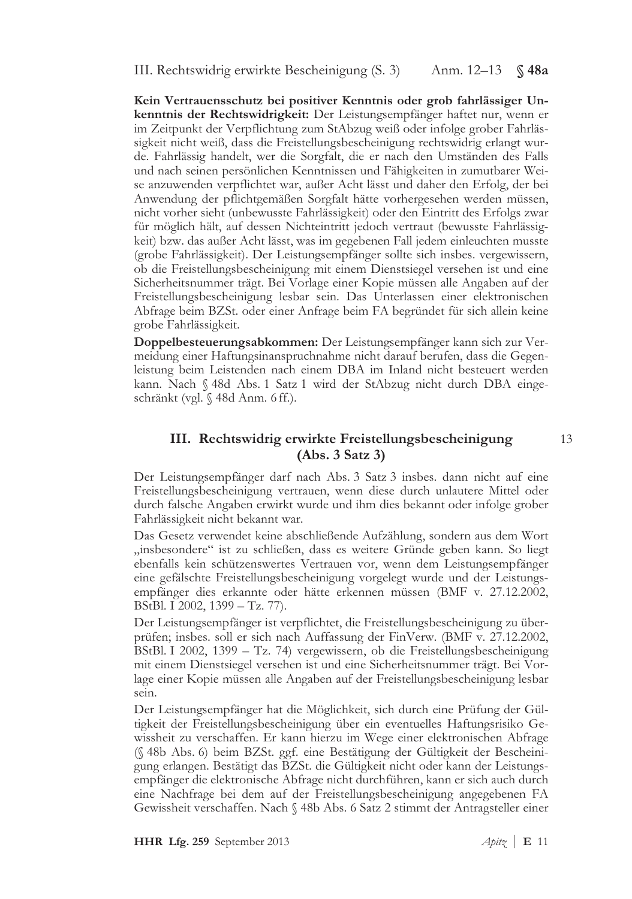III. Rechtswidrig erwirkte Bescheinigung (S. 3) Anm. 12–13  $\Im$  48a

Kein Vertrauensschutz bei positiver Kenntnis oder grob fahrlässiger Unkenntnis der Rechtswidrigkeit: Der Leistungsempfänger haftet nur, wenn er im Zeitpunkt der Verpflichtung zum StAbzug weiß oder infolge grober Fahrlässigkeit nicht weiß, dass die Freistellungsbescheinigung rechtswidrig erlangt wurde. Fahrlässig handelt, wer die Sorgfalt, die er nach den Umständen des Falls und nach seinen persönlichen Kenntnissen und Fähigkeiten in zumutbarer Weise anzuwenden verpflichtet war, außer Acht lässt und daher den Erfolg, der bei Anwendung der pflichtgemäßen Sorgfalt hätte vorhergesehen werden müssen, nicht vorher sieht (unbewusste Fahrlässigkeit) oder den Eintritt des Erfolgs zwar für möglich hält, auf dessen Nichteintritt jedoch vertraut (bewusste Fahrlässigkeit) bzw. das außer Acht lässt, was im gegebenen Fall jedem einleuchten musste (grobe Fahrlässigkeit). Der Leistungsempfänger sollte sich insbes. vergewissern, ob die Freistellungsbescheinigung mit einem Dienstsiegel versehen ist und eine Sicherheitsnummer trägt. Bei Vorlage einer Kopie müssen alle Angaben auf der Freistellungsbescheinigung lesbar sein. Das Unterlassen einer elektronischen Abfrage beim BZSt. oder einer Anfrage beim FA begründet für sich allein keine grobe Fahrlässigkeit.

Doppelbesteuerungsabkommen: Der Leistungsempfänger kann sich zur Vermeidung einer Haftungsinanspruchnahme nicht darauf berufen, dass die Gegenleistung beim Leistenden nach einem DBA im Inland nicht besteuert werden kann. Nach § 48d Abs. 1 Satz 1 wird der StAbzug nicht durch DBA eingeschränkt (vgl. § 48d Anm. 6 ff.).

# III. Rechtswidrig erwirkte Freistellungsbescheinigung  $(Abs. 3 Satz 3)$

Der Leistungsempfänger darf nach Abs. 3 Satz 3 insbes. dann nicht auf eine Freistellungsbescheinigung vertrauen, wenn diese durch unlautere Mittel oder durch falsche Angaben erwirkt wurde und ihm dies bekannt oder infolge grober Fahrlässigkeit nicht bekannt war.

Das Gesetz verwendet keine abschließende Aufzählung, sondern aus dem Wort "insbesondere" ist zu schließen, dass es weitere Gründe geben kann. So liegt ebenfalls kein schützenswertes Vertrauen vor, wenn dem Leistungsempfänger eine gefälschte Freistellungsbescheinigung vorgelegt wurde und der Leistungsempfänger dies erkannte oder hätte erkennen müssen (BMF v. 27.12.2002, BStBl. I 2002, 1399 - Tz. 77).

Der Leistungsempfänger ist verpflichtet, die Freistellungsbescheinigung zu überprüfen; insbes. soll er sich nach Auffassung der FinVerw. (BMF v. 27.12.2002, BStBl. I 2002, 1399 – Tz. 74) vergewissern, ob die Freistellungsbescheinigung mit einem Dienstsiegel versehen ist und eine Sicherheitsnummer trägt. Bei Vorlage einer Kopie müssen alle Angaben auf der Freistellungsbescheinigung lesbar sein.

Der Leistungsempfänger hat die Möglichkeit, sich durch eine Prüfung der Gültigkeit der Freistellungsbescheinigung über ein eventuelles Haftungsrisiko Gewissheit zu verschaffen. Er kann hierzu im Wege einer elektronischen Abfrage (§ 48b Abs. 6) beim BZSt. ggf. eine Bestätigung der Gültigkeit der Bescheinigung erlangen. Bestätigt das BZSt. die Gültigkeit nicht oder kann der Leistungsempfänger die elektronische Abfrage nicht durchführen, kann er sich auch durch eine Nachfrage bei dem auf der Freistellungsbescheinigung angegebenen FA Gewissheit verschaffen. Nach § 48b Abs. 6 Satz 2 stimmt der Antragsteller einer

13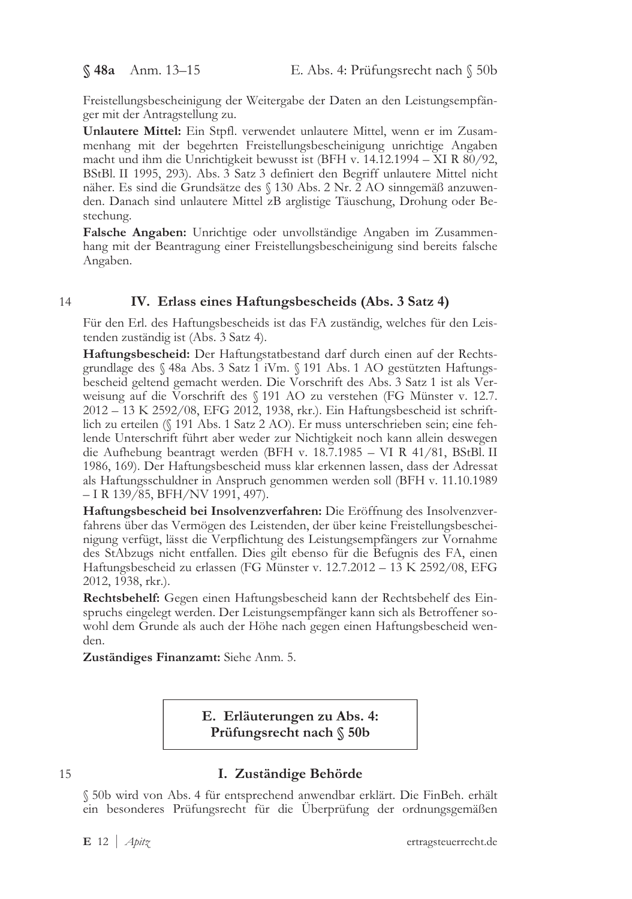Freistellungsbescheinigung der Weitergabe der Daten an den Leistungsempfänger mit der Antragstellung zu.

Unlautere Mittel: Ein Stpfl. verwendet unlautere Mittel, wenn er im Zusammenhang mit der begehrten Freistellungsbescheinigung unrichtige Angaben macht und ihm die Unrichtigkeit bewusst ist (BFH v. 14.12.1994 – XI R 80/92, BStBl. II 1995, 293). Abs. 3 Satz 3 definiert den Begriff unlautere Mittel nicht näher. Es sind die Grundsätze des  $\S$  130 Abs. 2 Nr. 2 AO sinngemäß anzuwenden. Danach sind unlautere Mittel zB arglistige Täuschung, Drohung oder Bestechung.

Falsche Angaben: Unrichtige oder unvollständige Angaben im Zusammenhang mit der Beantragung einer Freistellungsbescheinigung sind bereits falsche Angaben.

#### IV. Erlass eines Haftungsbescheids (Abs. 3 Satz 4) 14

Für den Erl. des Haftungsbescheids ist das FA zuständig, welches für den Leistenden zuständig ist (Abs. 3 Satz 4).

Haftungsbescheid: Der Haftungstatbestand darf durch einen auf der Rechtsgrundlage des  $\%$  48a Abs. 3 Satz 1 iVm.  $\%$  191 Abs. 1 AO gestützten Haftungsbescheid geltend gemacht werden. Die Vorschrift des Abs. 3 Satz 1 ist als Verweisung auf die Vorschrift des § 191 AO zu verstehen (FG Münster v. 12.7.  $\frac{2012 - 13 \text{ K } 2592/08}{\text{EFG } 2012, 1938, \text{ rkr.})}$ . Ein Haftungsbescheid ist schriftlich zu erteilen (§ 191 Abs. 1 Satz 2 AO). Er muss unterschrieben sein; eine fehlende Unterschrift führt aber weder zur Nichtigkeit noch kann allein deswegen die Aufhebung beantragt werden (BFH v. 18.7.1985 – VI R 41/81, BStBl. II 1986, 169). Der Haftungsbescheid muss klar erkennen lassen, dass der Adressat als Haftungsschuldner in Anspruch genommen werden soll (BFH v. 11.10.1989) – I R 139/85, BFH/NV 1991, 497).

Haftungsbescheid bei Insolvenzverfahren: Die Eröffnung des Insolvenzverfahrens über das Vermögen des Leistenden, der über keine Freistellungsbescheinigung verfügt, lässt die Verpflichtung des Leistungsempfängers zur Vornahme des StAbzugs nicht entfallen. Dies gilt ebenso für die Befugnis des FA, einen Haftungsbescheid zu erlassen (FG Münster v. 12.7.2012 – 13 K 2592/08, EFG 2012, 1938, rkr.).

Rechtsbehelf: Gegen einen Haftungsbescheid kann der Rechtsbehelf des Einspruchs eingelegt werden. Der Leistungsempfänger kann sich als Betroffener sowohl dem Grunde als auch der Höhe nach gegen einen Haftungsbescheid wenden.

Zuständiges Finanzamt: Siehe Anm. 5.

E. Erläuterungen zu Abs. 4: Prüfungsrecht nach  $\S$  50b

### 15

# I. Zuständige Behörde

§ 50b wird von Abs. 4 für entsprechend anwendbar erklärt. Die FinBeh. erhält ein besonderes Prüfungsrecht für die Überprüfung der ordnungsgemäßen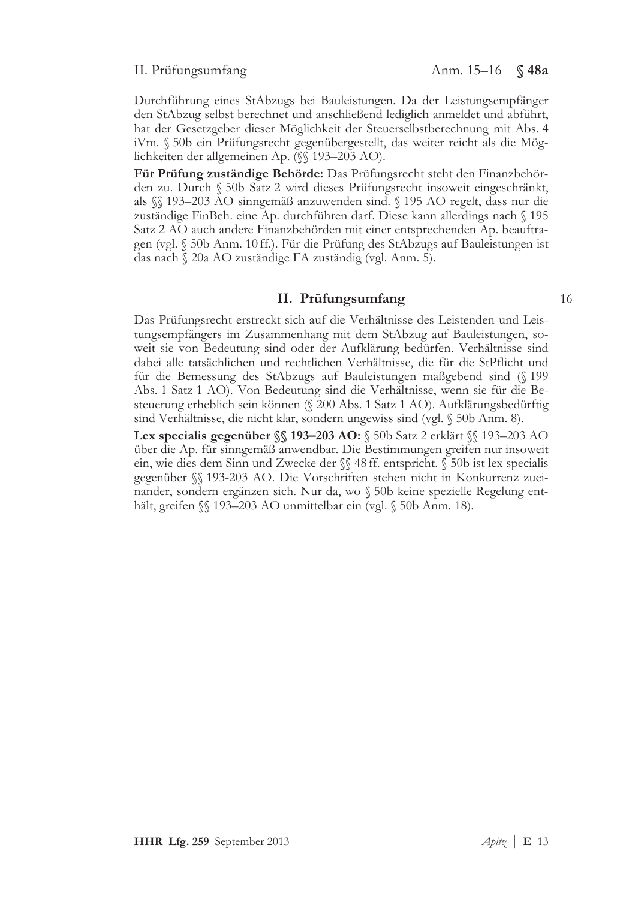### II. Prüfungsumfang

16

Durchführung eines StAbzugs bei Bauleistungen. Da der Leistungsempfänger den StAbzug selbst berechnet und anschließend lediglich anmeldet und abführt, hat der Gesetzgeber dieser Möglichkeit der Steuerselbstberechnung mit Abs. 4 iVm. § 50b ein Prüfungsrecht gegenübergestellt, das weiter reicht als die Möglichkeiten der allgemeinen Ap. (§§ 193–203 AO).

Für Prüfung zuständige Behörde: Das Prüfungsrecht steht den Finanzbehörden zu. Durch § 50b Satz 2 wird dieses Prüfungsrecht insoweit eingeschränkt, als \\\$\\$\\$193-203 AO sinngemäß anzuwenden sind. \\\$\\$195 AO regelt, dass nur die zuständige FinBeh. eine Ap. durchführen darf. Diese kann allerdings nach § 195 Satz 2 AO auch andere Finanzbehörden mit einer entsprechenden Ap. beauftragen (vgl. § 50b Anm. 10 ff.). Für die Prüfung des StAbzugs auf Bauleistungen ist das nach § 20a AO zuständige FA zuständig (vgl. Anm. 5).

### II. Prüfungsumfang

Das Prüfungsrecht erstreckt sich auf die Verhältnisse des Leistenden und Leistungsempfängers im Zusammenhang mit dem StAbzug auf Bauleistungen, soweit sie von Bedeutung sind oder der Aufklärung bedürfen. Verhältnisse sind dabei alle tatsächlichen und rechtlichen Verhältnisse, die für die StPflicht und für die Bemessung des StAbzugs auf Bauleistungen maßgebend sind (§ 199 Abs. 1 Satz 1 AO). Von Bedeutung sind die Verhältnisse, wenn sie für die Besteuerung erheblich sein können (§ 200 Abs. 1 Satz 1 AO). Aufklärungsbedürftig sind Verhältnisse, die nicht klar, sondern ungewiss sind (vgl. § 50b Anm. 8).

Lex specialis gegenüber SS 193-203 AO: S 50b Satz 2 erklärt SS 193-203 AO über die Ap. für sinngemäß anwendbar. Die Bestimmungen greifen nur insoweit ein, wie dies dem Sinn und Zwecke der SS 48 ff. entspricht. S 50b ist lex specialis gegenüber §§ 193-203 AO. Die Vorschriften stehen nicht in Konkurrenz zueinander, sondern ergänzen sich. Nur da, wo § 50b keine spezielle Regelung enthält, greifen SS 193–203 AO unmittelbar ein (vgl. § 50b Anm. 18).